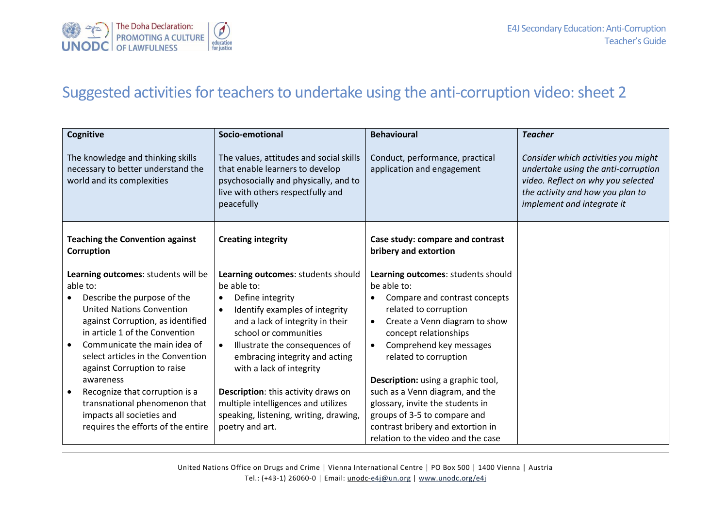

## Suggested activities for teachers to undertake using the anti-corruption video: sheet 2

| <b>Cognitive</b>                                                                                      | Socio-emotional                                                                                                                                                        | <b>Behavioural</b>                                            | <b>Teacher</b>                                                                                                                                                                     |
|-------------------------------------------------------------------------------------------------------|------------------------------------------------------------------------------------------------------------------------------------------------------------------------|---------------------------------------------------------------|------------------------------------------------------------------------------------------------------------------------------------------------------------------------------------|
| The knowledge and thinking skills<br>necessary to better understand the<br>world and its complexities | The values, attitudes and social skills<br>that enable learners to develop<br>psychosocially and physically, and to<br>live with others respectfully and<br>peacefully | Conduct, performance, practical<br>application and engagement | Consider which activities you might<br>undertake using the anti-corruption<br>video. Reflect on why you selected<br>the activity and how you plan to<br>implement and integrate it |
| <b>Teaching the Convention against</b><br>Corruption                                                  | <b>Creating integrity</b>                                                                                                                                              | Case study: compare and contrast<br>bribery and extortion     |                                                                                                                                                                                    |
| Learning outcomes: students will be                                                                   | Learning outcomes: students should                                                                                                                                     | Learning outcomes: students should                            |                                                                                                                                                                                    |
| able to:                                                                                              | be able to:                                                                                                                                                            | be able to:                                                   |                                                                                                                                                                                    |
| Describe the purpose of the                                                                           | Define integrity<br>$\bullet$                                                                                                                                          | Compare and contrast concepts                                 |                                                                                                                                                                                    |
| <b>United Nations Convention</b>                                                                      | Identify examples of integrity<br>$\bullet$                                                                                                                            | related to corruption                                         |                                                                                                                                                                                    |
| against Corruption, as identified                                                                     | and a lack of integrity in their                                                                                                                                       | Create a Venn diagram to show<br>$\bullet$                    |                                                                                                                                                                                    |
| in article 1 of the Convention                                                                        | school or communities                                                                                                                                                  | concept relationships                                         |                                                                                                                                                                                    |
| Communicate the main idea of<br>select articles in the Convention                                     | Illustrate the consequences of<br>$\bullet$                                                                                                                            | Comprehend key messages<br>$\bullet$                          |                                                                                                                                                                                    |
| against Corruption to raise                                                                           | embracing integrity and acting<br>with a lack of integrity                                                                                                             | related to corruption                                         |                                                                                                                                                                                    |
| awareness                                                                                             |                                                                                                                                                                        | Description: using a graphic tool,                            |                                                                                                                                                                                    |
| Recognize that corruption is a                                                                        | Description: this activity draws on                                                                                                                                    | such as a Venn diagram, and the                               |                                                                                                                                                                                    |
| transnational phenomenon that                                                                         | multiple intelligences and utilizes                                                                                                                                    | glossary, invite the students in                              |                                                                                                                                                                                    |
| impacts all societies and                                                                             | speaking, listening, writing, drawing,                                                                                                                                 | groups of 3-5 to compare and                                  |                                                                                                                                                                                    |
| requires the efforts of the entire                                                                    | poetry and art.                                                                                                                                                        | contrast bribery and extortion in                             |                                                                                                                                                                                    |
|                                                                                                       |                                                                                                                                                                        | relation to the video and the case                            |                                                                                                                                                                                    |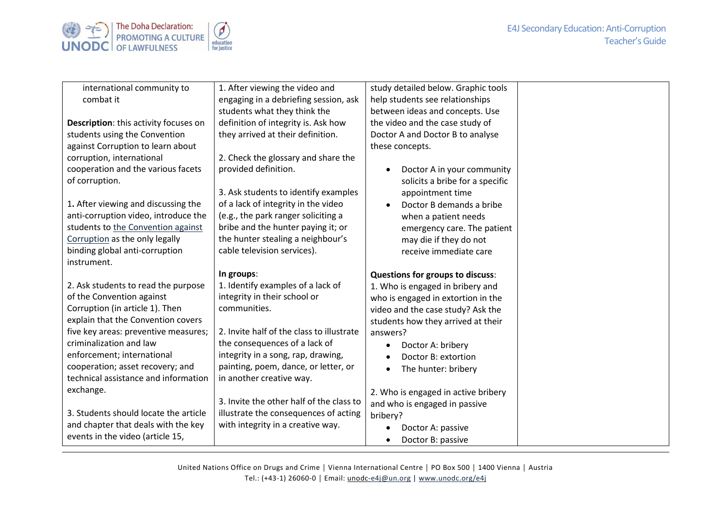## E4J Secondary Education: Anti-Corruption Teacher's Guide



| international community to            | 1. After viewing the video and            | study detailed below. Graphic tools   |  |
|---------------------------------------|-------------------------------------------|---------------------------------------|--|
| combat it                             | engaging in a debriefing session, ask     | help students see relationships       |  |
|                                       | students what they think the              | between ideas and concepts. Use       |  |
| Description: this activity focuses on | definition of integrity is. Ask how       | the video and the case study of       |  |
| students using the Convention         | they arrived at their definition.         | Doctor A and Doctor B to analyse      |  |
| against Corruption to learn about     |                                           | these concepts.                       |  |
| corruption, international             | 2. Check the glossary and share the       |                                       |  |
| cooperation and the various facets    | provided definition.                      | Doctor A in your community            |  |
| of corruption.                        |                                           | solicits a bribe for a specific       |  |
|                                       | 3. Ask students to identify examples      | appointment time                      |  |
| 1. After viewing and discussing the   | of a lack of integrity in the video       | Doctor B demands a bribe<br>$\bullet$ |  |
| anti-corruption video, introduce the  | (e.g., the park ranger soliciting a       | when a patient needs                  |  |
| students to the Convention against    | bribe and the hunter paying it; or        | emergency care. The patient           |  |
| Corruption as the only legally        | the hunter stealing a neighbour's         | may die if they do not                |  |
| binding global anti-corruption        | cable television services).               | receive immediate care                |  |
| instrument.                           |                                           |                                       |  |
|                                       | In groups:                                | Questions for groups to discuss:      |  |
| 2. Ask students to read the purpose   | 1. Identify examples of a lack of         | 1. Who is engaged in bribery and      |  |
| of the Convention against             | integrity in their school or              | who is engaged in extortion in the    |  |
| Corruption (in article 1). Then       | communities.                              | video and the case study? Ask the     |  |
| explain that the Convention covers    |                                           | students how they arrived at their    |  |
| five key areas: preventive measures;  | 2. Invite half of the class to illustrate | answers?                              |  |
| criminalization and law               | the consequences of a lack of             | Doctor A: bribery                     |  |
| enforcement; international            | integrity in a song, rap, drawing,        | Doctor B: extortion                   |  |
| cooperation; asset recovery; and      | painting, poem, dance, or letter, or      | The hunter: bribery                   |  |
| technical assistance and information  | in another creative way.                  |                                       |  |
| exchange.                             |                                           | 2. Who is engaged in active bribery   |  |
| 3. Students should locate the article | 3. Invite the other half of the class to  | and who is engaged in passive         |  |
|                                       | illustrate the consequences of acting     | bribery?                              |  |
| and chapter that deals with the key   | with integrity in a creative way.         | Doctor A: passive                     |  |
| events in the video (article 15,      |                                           | Doctor B: passive<br>$\bullet$        |  |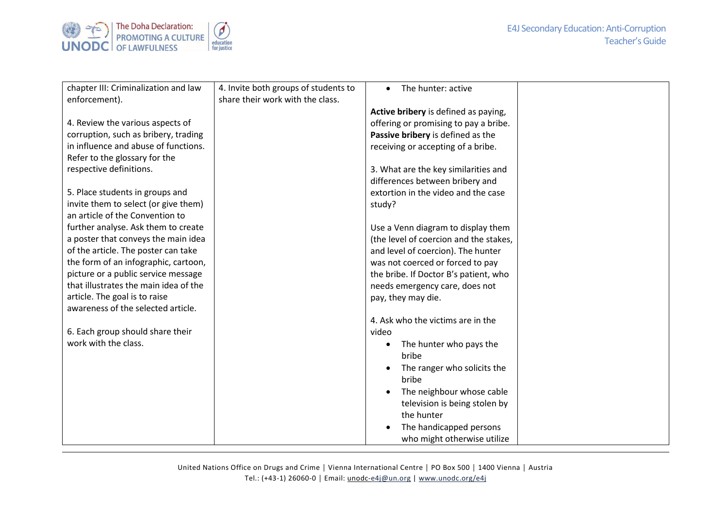

| chapter III: Criminalization and law  | 4. Invite both groups of students to | The hunter: active                     |  |
|---------------------------------------|--------------------------------------|----------------------------------------|--|
| enforcement).                         | share their work with the class.     |                                        |  |
|                                       |                                      | Active bribery is defined as paying,   |  |
| 4. Review the various aspects of      |                                      | offering or promising to pay a bribe.  |  |
| corruption, such as bribery, trading  |                                      | Passive bribery is defined as the      |  |
| in influence and abuse of functions.  |                                      | receiving or accepting of a bribe.     |  |
| Refer to the glossary for the         |                                      |                                        |  |
| respective definitions.               |                                      | 3. What are the key similarities and   |  |
|                                       |                                      | differences between bribery and        |  |
| 5. Place students in groups and       |                                      | extortion in the video and the case    |  |
| invite them to select (or give them)  |                                      | study?                                 |  |
| an article of the Convention to       |                                      |                                        |  |
| further analyse. Ask them to create   |                                      | Use a Venn diagram to display them     |  |
| a poster that conveys the main idea   |                                      | (the level of coercion and the stakes, |  |
| of the article. The poster can take   |                                      | and level of coercion). The hunter     |  |
| the form of an infographic, cartoon,  |                                      | was not coerced or forced to pay       |  |
| picture or a public service message   |                                      | the bribe. If Doctor B's patient, who  |  |
| that illustrates the main idea of the |                                      | needs emergency care, does not         |  |
| article. The goal is to raise         |                                      | pay, they may die.                     |  |
| awareness of the selected article.    |                                      |                                        |  |
|                                       |                                      | 4. Ask who the victims are in the      |  |
| 6. Each group should share their      |                                      | video                                  |  |
| work with the class.                  |                                      | The hunter who pays the                |  |
|                                       |                                      | bribe                                  |  |
|                                       |                                      | The ranger who solicits the            |  |
|                                       |                                      | bribe                                  |  |
|                                       |                                      | The neighbour whose cable              |  |
|                                       |                                      | television is being stolen by          |  |
|                                       |                                      | the hunter                             |  |
|                                       |                                      | The handicapped persons                |  |
|                                       |                                      |                                        |  |
|                                       |                                      | who might otherwise utilize            |  |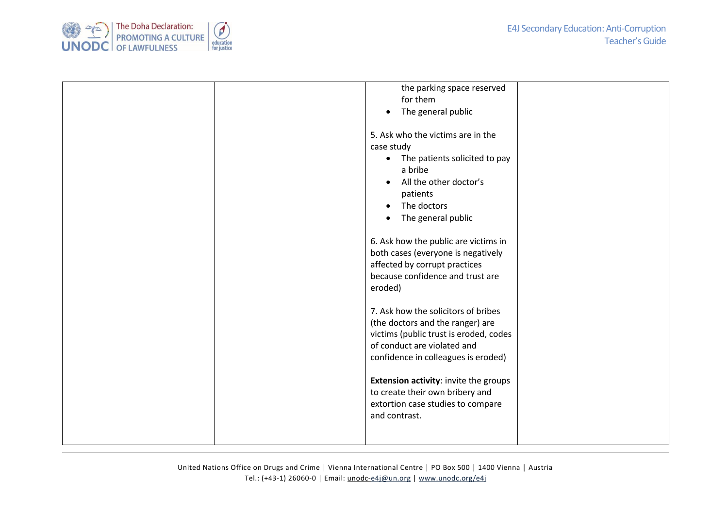

| the parking space reserved<br>for them<br>The general public<br>$\bullet$<br>5. Ask who the victims are in the<br>case study<br>The patients solicited to pay<br>$\bullet$<br>a bribe<br>All the other doctor's<br>patients<br>The doctors<br>$\bullet$<br>The general public<br>6. Ask how the public are victims in<br>both cases (everyone is negatively<br>affected by corrupt practices<br>because confidence and trust are<br>eroded)<br>7. Ask how the solicitors of bribes<br>(the doctors and the ranger) are<br>victims (public trust is eroded, codes<br>of conduct are violated and<br>confidence in colleagues is eroded) |
|----------------------------------------------------------------------------------------------------------------------------------------------------------------------------------------------------------------------------------------------------------------------------------------------------------------------------------------------------------------------------------------------------------------------------------------------------------------------------------------------------------------------------------------------------------------------------------------------------------------------------------------|
|                                                                                                                                                                                                                                                                                                                                                                                                                                                                                                                                                                                                                                        |
| Extension activity: invite the groups<br>to create their own bribery and<br>extortion case studies to compare<br>and contrast.                                                                                                                                                                                                                                                                                                                                                                                                                                                                                                         |